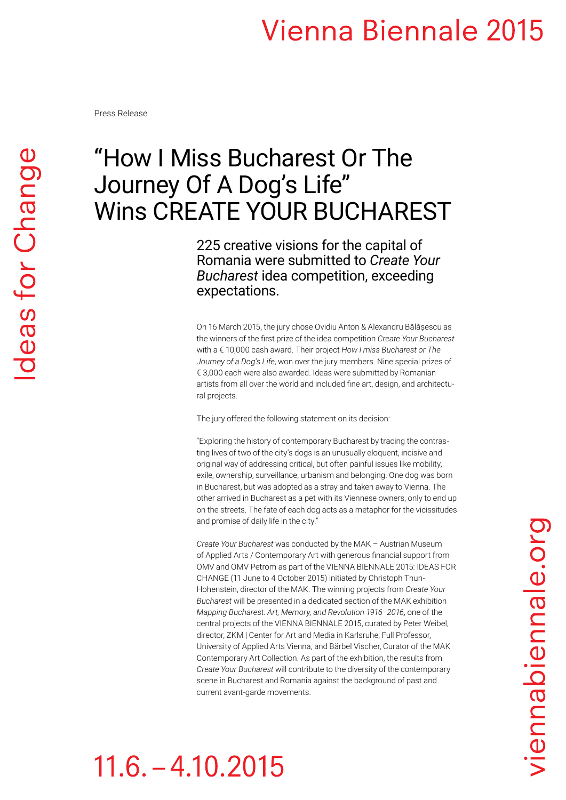Press Release

### "How I Miss Bucharest Or The Journey Of A Dog's Life" Wins CREATE YOUR BUCHAREST

225 creative visions for the capital of Romania were submitted to *Create Your Bucharest* idea competition, exceeding expectations.

On 16 March 2015, the jury chose Ovidiu Anton & Alexandru Bălășescu as the winners of the first prize of the idea competition *Create Your Bucharest*  with a € 10,000 cash award. Their project *How I miss Bucharest or The Journey of a Dog's Life*, won over the jury members. Nine special prizes of € 3,000 each were also awarded. Ideas were submitted by Romanian artists from all over the world and included fine art, design, and architectural projects.

The jury offered the following statement on its decision:

"Exploring the history of contemporary Bucharest by tracing the contrasting lives of two of the city's dogs is an unusually eloquent, incisive and original way of addressing critical, but often painful issues like mobility, exile, ownership, surveillance, urbanism and belonging. One dog was born in Bucharest, but was adopted as a stray and taken away to Vienna. The other arrived in Bucharest as a pet with its Viennese owners, only to end up on the streets. The fate of each dog acts as a metaphor for the vicissitudes and promise of daily life in the city."

*Create Your Bucharest* was conducted by the MAK – Austrian Museum of Applied Arts / Contemporary Art with generous financial support from OMV and OMV Petrom as part of the VIENNA BIENNALE 2015: IDEAS FOR CHANGE (11 June to 4 October 2015) initiated by Christoph Thun-Hohenstein, director of the MAK. The winning projects from *Create Your Bucharest* will be presented in a dedicated section of the MAK exhibition *Mapping Bucharest: Art, Memory, and Revolution 1916–2016,* one of the central projects of the VIENNA BIENNALE 2015, curated by Peter Weibel, director, ZKM | Center for Art and Media in Karlsruhe; Full Professor, University of Applied Arts Vienna, and Bärbel Vischer, Curator of the MAK Contemporary Art Collection. As part of the exhibition, the results from *Create Your Bucharest* will contribute to the diversity of the contemporary scene in Bucharest and Romania against the background of past and current avant-garde movements.

## $11.6. - 4.10.2015$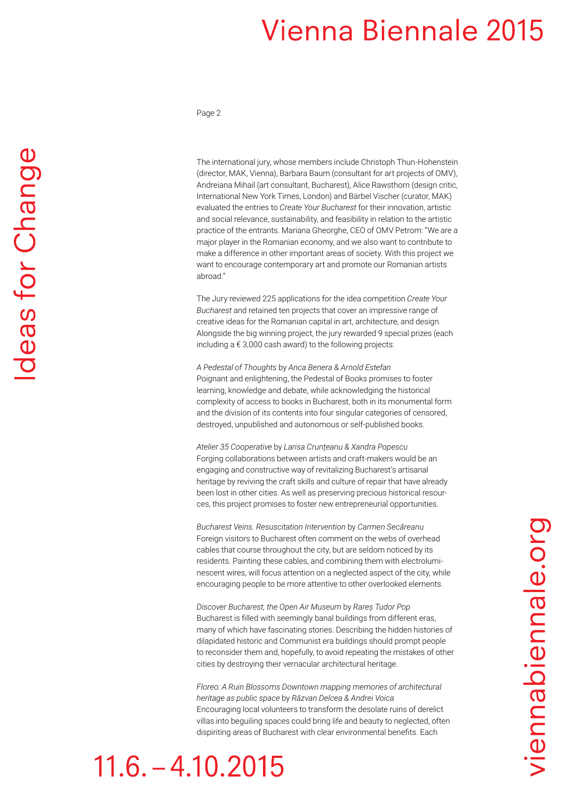Page 2

The international jury, whose members include Christoph Thun-Hohenstein (director, MAK, Vienna), Barbara Baum (consultant for art projects of OMV), Andreiana Mihail (art consultant, Bucharest), Alice Rawsthorn (design critic, International New York Times, London) and Bärbel Vischer (curator, MAK) evaluated the entries to *Create Your Bucharest* for their innovation, artistic and social relevance, sustainability, and feasibility in relation to the artistic practice of the entrants. Mariana Gheorghe, CEO of OMV Petrom: "We are a major player in the Romanian economy, and we also want to contribute to make a difference in other important areas of society. With this project we want to encourage contemporary art and promote our Romanian artists abroad."

The Jury reviewed 225 applications for the idea competition *Create Your Bucharest* and retained ten projects that cover an impressive range of creative ideas for the Romanian capital in art, architecture, and design. Alongside the big winning project, the jury rewarded 9 special prizes (each including a € 3,000 cash award) to the following projects:

*A Pedestal of Thoughts* by *Anca Benera & Arnold Estefan* Poignant and enlightening, the Pedestal of Books promises to foster learning, knowledge and debate, while acknowledging the historical complexity of access to books in Bucharest, both in its monumental form and the division of its contents into four singular categories of censored, destroyed, unpublished and autonomous or self-published books.

*Atelier 35 Cooperative* by *Larisa Crunțeanu & Xandra Popescu* Forging collaborations between artists and craft-makers would be an engaging and constructive way of revitalizing Bucharest's artisanal heritage by reviving the craft skills and culture of repair that have already been lost in other cities. As well as preserving precious historical resources, this project promises to foster new entrepreneurial opportunities.

*Bucharest Veins. Resuscitation Intervention* by *Carmen Secăreanu* Foreign visitors to Bucharest often comment on the webs of overhead cables that course throughout the city, but are seldom noticed by its residents. Painting these cables, and combining them with electroluminescent wires, will focus attention on a neglected aspect of the city, while encouraging people to be more attentive to other overlooked elements.

*Discover Bucharest, the Open Air Museum* by *Rareș Tudor Pop* Bucharest is filled with seemingly banal buildings from different eras, many of which have fascinating stories. Describing the hidden histories of dilapidated historic and Communist era buildings should prompt people to reconsider them and, hopefully, to avoid repeating the mistakes of other cities by destroying their vernacular architectural heritage.

*Floreo: A Ruin Blossoms Downtown mapping memories of architectural heritage as public space* by *Răzvan Delcea & Andrei Voica* Encouraging local volunteers to transform the desolate ruins of derelict villas into beguiling spaces could bring life and beauty to neglected, often dispiriting areas of Bucharest with clear environmental benefits. Each

# $11.6 - 4.10.2015$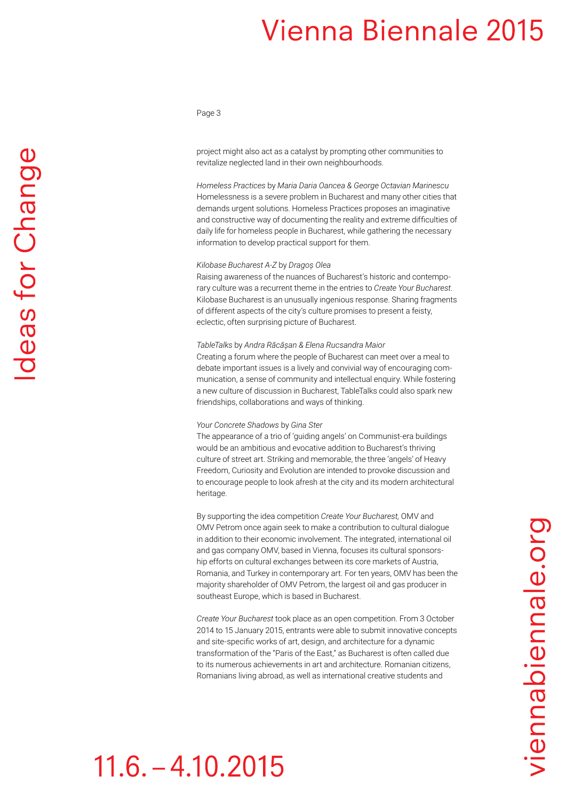#### Page 3

project might also act as a catalyst by prompting other communities to revitalize neglected land in their own neighbourhoods.

*Homeless Practices* by *Maria Daria Oancea & George Octavian Marinescu*  Homelessness is a severe problem in Bucharest and many other cities that demands urgent solutions. Homeless Practices proposes an imaginative and constructive way of documenting the reality and extreme difficulties of daily life for homeless people in Bucharest, while gathering the necessary information to develop practical support for them.

#### *Kilobase Bucharest A-Z* by *Dragoș Olea*

Raising awareness of the nuances of Bucharest's historic and contemporary culture was a recurrent theme in the entries to *Create Your Bucharest*. Kilobase Bucharest is an unusually ingenious response. Sharing fragments of different aspects of the city's culture promises to present a feisty, eclectic, often surprising picture of Bucharest.

#### *TableTalks* by *Andra Răcășan & Elena Rucsandra Maior*

Creating a forum where the people of Bucharest can meet over a meal to debate important issues is a lively and convivial way of encouraging communication, a sense of community and intellectual enquiry. While fostering a new culture of discussion in Bucharest, TableTalks could also spark new friendships, collaborations and ways of thinking.

#### *Your Concrete Shadows* by *Gina Ster*

The appearance of a trio of 'guiding angels' on Communist-era buildings would be an ambitious and evocative addition to Bucharest's thriving culture of street art. Striking and memorable, the three 'angels' of Heavy Freedom, Curiosity and Evolution are intended to provoke discussion and to encourage people to look afresh at the city and its modern architectural heritage.

By supporting the idea competition *Create Your Bucharest,* OMV and OMV Petrom once again seek to make a contribution to cultural dialogue in addition to their economic involvement. The integrated, international oil and gas company OMV, based in Vienna, focuses its cultural sponsorship efforts on cultural exchanges between its core markets of Austria, Romania, and Turkey in contemporary art. For ten years, OMV has been the majority shareholder of OMV Petrom, the largest oil and gas producer in southeast Europe, which is based in Bucharest.

*Create Your Bucharest* took place as an open competition. From 3 October 2014 to 15 January 2015, entrants were able to submit innovative concepts and site-specific works of art, design, and architecture for a dynamic transformation of the "Paris of the East," as Bucharest is often called due to its numerous achievements in art and architecture. Romanian citizens, Romanians living abroad, as well as international creative students and

# $11.6. - 4.10.2015$